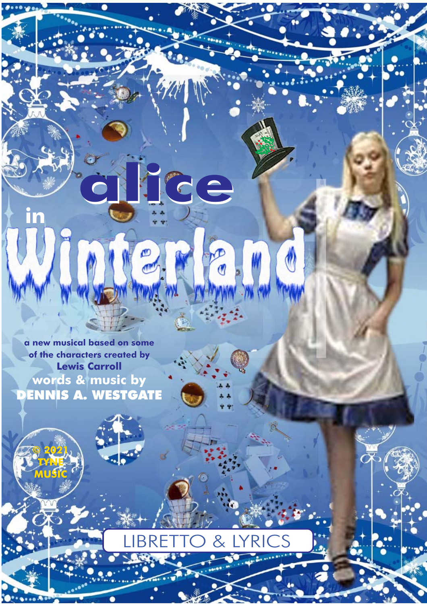**a new musical based on some of the characters created by Lewis Carroll words & music by** ENNIS A. WESTGATE

**© 2021 TYNE MUSIC**

 $0.000000$ 

**in**

**in**

**alice**

ற

**alice**

#**. .. . .**

### LIBRETTO & LYRICS LIBRETTO & LYRICS

1

 $\overline{a}$ 

© 2021 - ALICE in WINTERLAND by Dennis A. Westgate - TYNE MUSIC - tynemusiclimited@gmail.com

 $\mathcal{L} = \mathcal{L} \mathcal{L} = \mathcal{L} \mathcal{L}$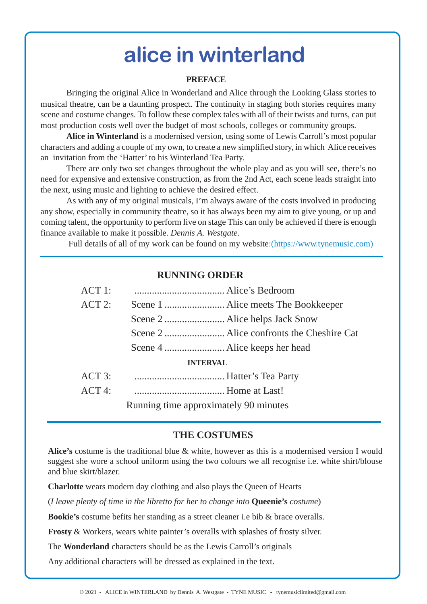## **alice in winterland**

#### **PREFACE**

Bringing the original Alice in Wonderland and Alice through the Looking Glass stories to musical theatre, can be a daunting prospect. The continuity in staging both stories requires many scene and costume changes. To follow these complex tales with all of their twists and turns, can put most production costs well over the budget of most schools, colleges or community groups.

**Alice in Winterland** is a modernised version, using some of Lewis Carroll's most popular characters and adding a couple of my own, to create a new simplified story, in which Alice receives an invitation from the 'Hatter' to his Winterland Tea Party.

There are only two set changes throughout the whole play and as you will see, there's no need for expensive and extensive construction, as from the 2nd Act, each scene leads straight into the next, using music and lighting to achieve the desired effect.

As with any of my original musicals, I'm always aware of the costs involved in producing any show, especially in community theatre, so it has always been my aim to give young, or up and coming talent, the opportunity to perform live on stage This can only be achieved if there is enough finance available to make it possible. *Dennis A. Westgate.*

Full details of all of my work can be found on my website:(https://www.tynemusic.com)

### **RUNNING ORDER**

| ACT 1:          |                                       |  |  |  |  |
|-----------------|---------------------------------------|--|--|--|--|
| ACT 2:          |                                       |  |  |  |  |
|                 |                                       |  |  |  |  |
|                 |                                       |  |  |  |  |
|                 |                                       |  |  |  |  |
| <b>INTERVAL</b> |                                       |  |  |  |  |
| ACT 3:          |                                       |  |  |  |  |
| ACT 4:          |                                       |  |  |  |  |
|                 | Running time approximately 90 minutes |  |  |  |  |

#### **THE COSTUMES**

**Alice's** costume is the traditional blue & white, however as this is a modernised version I would suggest she wore a school uniform using the two colours we all recognise i.e. white shirt/blouse and blue skirt/blazer.

**Charlotte** wears modern day clothing and also plays the Queen of Hearts

(*I leave plenty of time in the libretto for her to change into* **Queenie's** *costume*)

**Bookie's** costume befits her standing as a street cleaner i.e bib & brace overalls.

**Frosty** & Workers, wears white painter's overalls with splashes of frosty silver.

The **Wonderland** characters should be as the Lewis Carroll's originals

Any additional characters will be dressed as explained in the text.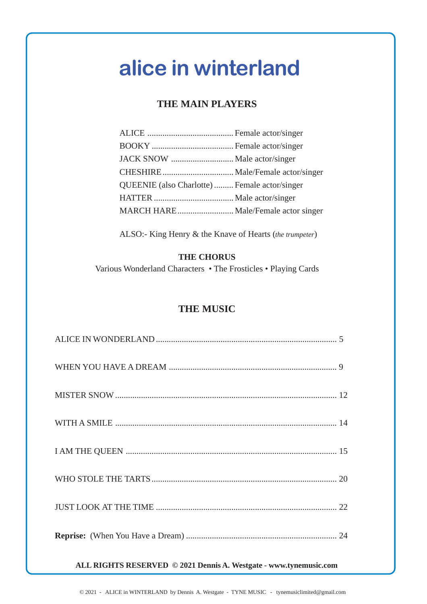# **alice in winterland**

### **THE MAIN PLAYERS**

| QUEENIE (also Charlotte)  Female actor/singer |  |
|-----------------------------------------------|--|
|                                               |  |
|                                               |  |
|                                               |  |

ALSO:- King Henry & the Knave of Hearts (*the trumpeter*)

#### **THE CHORUS**

Various Wonderland Characters • The Frosticles • Playing Cards

### **THE MUSIC**

#### **ALL RIGHTS RESERVED © 2021 Dennis A. Westgate - www.tynemusic.com**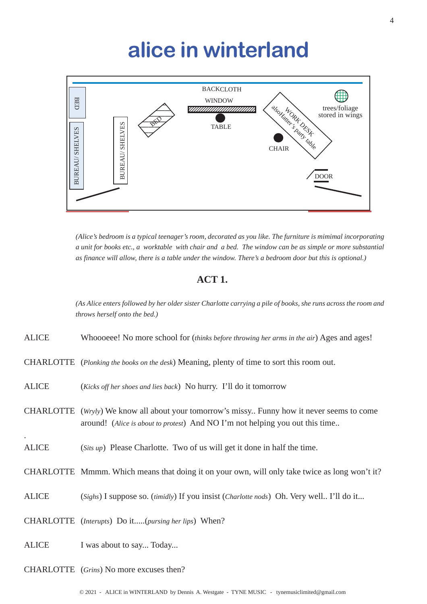## **alice in winterland**



*(Alice's bedroom is a typical teenager's room, decorated as you like. The furniture is mimimal incorporating a unit for books etc., a worktable with chair and a bed. The window can be as simple or more substantial as finance will allow, there is a table under the window. There's a bedroom door but this is optional.)*

### **ACT 1.**

*(As Alice enters followed by her older sister Charlotte carrying a pile of books, she runs across the room and throws herself onto the bed.)*

ALICE Whoooeee! No more school for (*thinks before throwing her arms in the air*) Ages and ages!

- CHARLOTTE (*Plonking the books on the desk*) Meaning, plenty of time to sort this room out.
- ALICE (*Kicks off her shoes and lies back*) No hurry. I'll do it tomorrow

CHARLOTTE (*Wryly*) We know all about your tomorrow's missy.. Funny how it never seems to come around! (*Alice is about to protest*) And NO I'm not helping you out this time..

ALICE (*Sits up*) Please Charlotte. Two of us will get it done in half the time.

CHARLOTTE Mmmm. Which means that doing it on your own, will only take twice as long won't it?

ALICE (*Sighs*) I suppose so. (*timidly*) If you insist (*Charlotte nods*) Oh. Very well.. I'll do it...

CHARLOTTE (*Interupts*) Do it.....(*pursing her lips*) When?

ALICE I was about to say... Today...

.

CHARLOTTE (*Grins*) No more excuses then?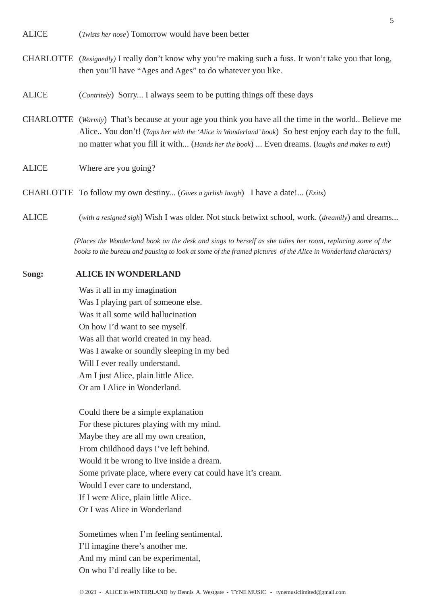ALICE (*Twists her nose*) Tomorrow would have been better

- CHARLOTTE (*Resignedly)* I really don't know why you're making such a fuss. It won't take you that long, then you'll have "Ages and Ages" to do whatever you like.
- ALICE (*Contritely*) Sorry... I always seem to be putting things off these days
- CHARLOTTE (*Warmly*) That's because at your age you think you have all the time in the world.. Believe me Alice.. You don't! (*Taps her with the 'Alice in Wonderland' book*) So best enjoy each day to the full, no matter what you fill it with... (*Hands her the book*) ... Even dreams. (*laughs and makes to exit*)

ALICE Where are you going?

- CHARLOTTE To follow my own destiny... (*Gives a girlish laugh*) I have a date!... (*Exits*)
- ALICE (*with a resigned sigh*) Wish I was older. Not stuck betwixt school, work. (*dreamily*) and dreams...

*(Places the Wonderland book on the desk and sings to herself as she tidies her room, replacing some of the books to the bureau and pausing to look at some of the framed pictures of the Alice in Wonderland characters)*

#### Song: **ALICE IN WONDERLAND**

Was it all in my imagination Was I playing part of someone else. Was it all some wild hallucination On how I'd want to see myself. Was all that world created in my head. Was I awake or soundly sleeping in my bed Will I ever really understand. Am I just Alice, plain little Alice. Or am I Alice in Wonderland.

Could there be a simple explanation For these pictures playing with my mind. Maybe they are all my own creation, From childhood days I've left behind. Would it be wrong to live inside a dream. Some private place, where every cat could have it's cream. Would I ever care to understand, If I were Alice, plain little Alice. Or I was Alice in Wonderland

Sometimes when I'm feeling sentimental. I'll imagine there's another me. And my mind can be experimental, On who I'd really like to be.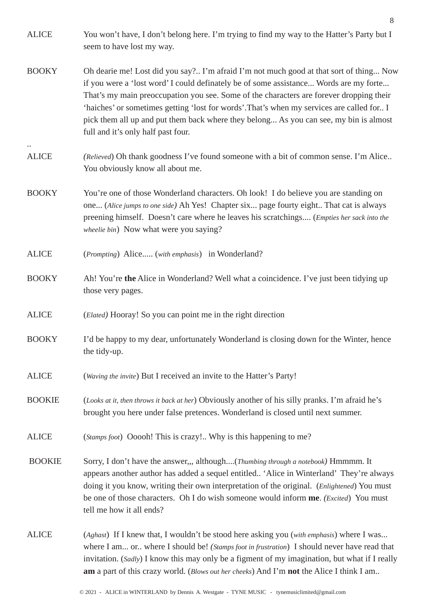- ALICE You won't have, I don't belong here. I'm trying to find my way to the Hatter's Party but I seem to have lost my way.
- BOOKY Oh dearie me! Lost did you say?.. I'm afraid I'm not much good at that sort of thing... Now if you were a 'lost word' I could definately be of some assistance... Words are my forte... That's my main preoccupation you see. Some of the characters are forever dropping their 'haiches' or sometimes getting 'lost for words'.That's when my services are called for.. I pick them all up and put them back where they belong... As you can see, my bin is almost full and it's only half past four.
- ALICE *(Relieved*) Oh thank goodness I've found someone with a bit of common sense. I'm Alice.. You obviously know all about me.
- BOOKY You're one of those Wonderland characters. Oh look! I do believe you are standing on one... (*Alice jumps to one side)* Ah Yes! Chapter six... page fourty eight.. That cat is always preening himself. Doesn't care where he leaves his scratchings.... (*Empties her sack into the wheelie bin*) Now what were you saying?
- ALICE (*Prompting*) Alice..... (*with emphasis*) in Wonderland?

..

- BOOKY Ah! You're **the** Alice in Wonderland? Well what a coincidence. I've just been tidying up those very pages.
- ALICE (*Elated)* Hooray! So you can point me in the right direction
- BOOKY I'd be happy to my dear, unfortunately Wonderland is closing down for the Winter, hence the tidy-up.
- ALICE (*Waving the invite*) But I received an invite to the Hatter's Party!
- BOOKIE (*Looks at it, then throws it back at her*) Obviously another of his silly pranks. I'm afraid he's brought you here under false pretences. Wonderland is closed until next summer.
- ALICE (*Stamps foot*) Ooooh! This is crazy!.. Why is this happening to me?
- BOOKIE Sorry, I don't have the answer,,, although....(*Thumbing through a notebook)* Hmmmm. It appears another author has added a sequel entitled.. 'Alice in Winterland' They're always doing it you know, writing their own interpretation of the original. (*Enlightened*) You must be one of those characters. Oh I do wish someone would inform **me**. *(Excited*) You must tell me how it all ends?
- ALICE (*Aghast*) If I knew that, I wouldn't be stood here asking you (*with emphasis*) where I was... where I am... or.. where I should be! *(Stamps foot in frustration*) I should never have read that invitation. (*Sadly*) I know this may only be a figment of my imagination, but what if I really **am** a part of this crazy world. (*Blows out her cheeks*) And I'm **not** the Alice I think I am..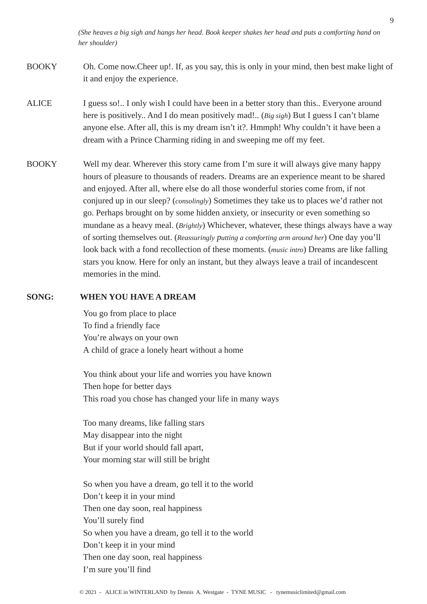*(She heaves a big sigh and hangs her head. Book keeper shakes her head and puts a comforting hand on her shoulder)*

### BOOKY Oh. Come now.Cheer up!. If, as you say, this is only in your mind, then best make light of it and enjoy the experience.

- ALICE I guess so!.. I only wish I could have been in a better story than this.. Everyone around here is positively.. And I do mean positively mad!.. (*Big sigh*) But I guess I can't blame anyone else. After all, this is my dream isn't it?. Hmmph! Why couldn't it have been a dream with a Prince Charming riding in and sweeping me off my feet.
- BOOKY Well my dear. Wherever this story came from I'm sure it will always give many happy hours of pleasure to thousands of readers. Dreams are an experience meant to be shared and enjoyed. After all, where else do all those wonderful stories come from, if not conjured up in our sleep? (*consolingly*) Sometimes they take us to places we'd rather not go. Perhaps brought on by some hidden anxiety, or insecurity or even something so mundane as a heavy meal. (*Brightly*) Whichever, whatever, these things always have a way of sorting themselves out. (*Reassuringly putting a comforting arm around her*) One day you'll look back with a fond recollection of these moments. (*music intro*) Dreams are like falling stars you know. Here for only an instant, but they always leave a trail of incandescent memories in the mind.

#### **SONG: WHEN YOU HAVE A DREAM**

You go from place to place To find a friendly face You're always on your own A child of grace a lonely heart without a home

You think about your life and worries you have known Then hope for better days This road you chose has changed your life in many ways

Too many dreams, like falling stars May disappear into the night But if your world should fall apart, Your morning star will still be bright

So when you have a dream, go tell it to the world Don't keep it in your mind Then one day soon, real happiness You'll surely find So when you have a dream, go tell it to the world Don't keep it in your mind Then one day soon, real happiness I'm sure you'll find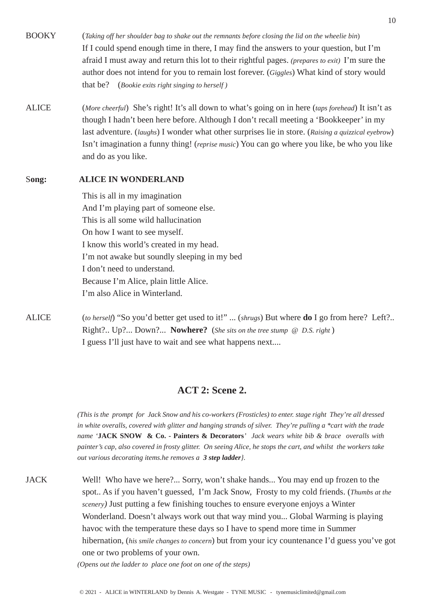- BOOKY (*Taking off her shoulder bag to shake out the remnants before closing the lid on the wheelie bin*) If I could spend enough time in there, I may find the answers to your question, but I'm afraid I must away and return this lot to their rightful pages. *(prepares to exit)* I'm sure the author does not intend for you to remain lost forever. (*Giggles*) What kind of story would that be? (*Bookie exits right singing to herself )*
- ALICE (*More cheerful*) She's right! It's all down to what's going on in here (*taps forehead*) It isn't as though I hadn't been here before. Although I don't recall meeting a 'Bookkeeper' in my last adventure. (*laughs*) I wonder what other surprises lie in store. (*Raising a quizzical eyebrow*) Isn't imagination a funny thing! (*reprise music*) You can go where you like, be who you like and do as you like.

#### Song: **ALICE IN WONDERLAND**

This is all in my imagination And I'm playing part of someone else. This is all some wild hallucination On how I want to see myself. I know this world's created in my head. I'm not awake but soundly sleeping in my bed I don't need to understand. Because I'm Alice, plain little Alice. I'm also Alice in Winterland.

ALICE (*to herself*) "So you'd better get used to it!" ... (*shrugs*) But where **do** I go from here? Left?.. Right?.. Up?... Down?... **Nowhere?** (*She sits on the tree stump @ D.S. right* ) I guess I'll just have to wait and see what happens next....

### **ACT 2: Scene 2.**

*(This is the prompt for Jack Snow and his co-workers (Frosticles) to enter. stage right They're all dressed in white overalls, covered with glitter and hanging strands of silver. They're pulling a \*cart with the trade name '***JACK SNOW & Co. - Painters & Decorators***' Jack wears white bib & brace overalls with painter's cap, also covered in frosty glitter. On seeing Alice, he stops the cart, and whilst the workers take out various decorating items.he removes a 3 step ladder}.*

JACK Well! Who have we here?... Sorry, won't shake hands... You may end up frozen to the spot.. As if you haven't guessed, I'm Jack Snow, Frosty to my cold friends. (*Thumbs at the scenery)* Just putting a few finishing touches to ensure everyone enjoys a Winter Wonderland. Doesn't always work out that way mind you... Global Warming is playing havoc with the temperature these days so I have to spend more time in Summer hibernation, (*his smile changes to concern*) but from your icy countenance I'd guess you've got one or two problems of your own.

*(Opens out the ladder to place one foot on one of the steps)*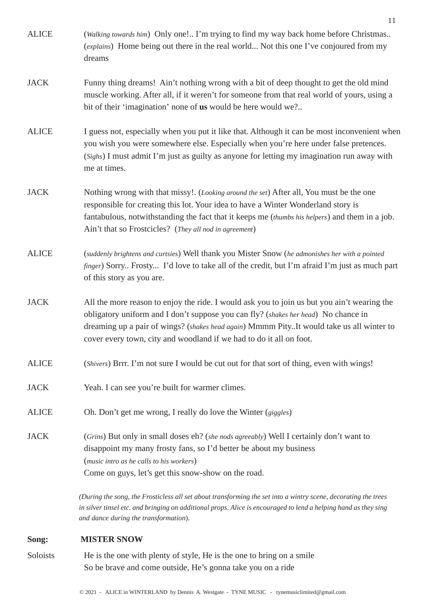| <b>ALICE</b> | (Walking towards him) Only one! I'm trying to find my way back home before Christmas<br>(explains) Home being out there in the real world Not this one I've conjoured from my<br>dreams                                                                                                                                                                |
|--------------|--------------------------------------------------------------------------------------------------------------------------------------------------------------------------------------------------------------------------------------------------------------------------------------------------------------------------------------------------------|
| <b>JACK</b>  | Funny thing dreams! Ain't nothing wrong with a bit of deep thought to get the old mind<br>muscle working. After all, if it weren't for someone from that real world of yours, using a<br>bit of their 'imagination' none of us would be here would we?                                                                                                 |
| <b>ALICE</b> | I guess not, especially when you put it like that. Although it can be most inconvenient when<br>you wish you were somewhere else. Especially when you're here under false pretences.<br>(Sighs) I must admit I'm just as guilty as anyone for letting my imagination run away with<br>me at times.                                                     |
| <b>JACK</b>  | Nothing wrong with that missy!. (Looking around the set) After all, You must be the one<br>responsible for creating this lot. Your idea to have a Winter Wonderland story is<br>fantabulous, notwithstanding the fact that it keeps me (thumbs his helpers) and them in a job.<br>Ain't that so Frostcicles? (They all nod in agreement)               |
| <b>ALICE</b> | (suddenly brightens and curtsies) Well thank you Mister Snow (he admonishes her with a pointed<br><i>finger</i> ) Sorry Frosty I'd love to take all of the credit, but I'm afraid I'm just as much part<br>of this story as you are.                                                                                                                   |
| <b>JACK</b>  | All the more reason to enjoy the ride. I would ask you to join us but you ain't wearing the<br>obligatory uniform and I don't suppose you can fly? (shakes her head) No chance in<br>dreaming up a pair of wings? (shakes head again) Mmmm Pity. It would take us all winter to<br>cover every town, city and woodland if we had to do it all on foot. |
| <b>ALICE</b> | (Shivers) Brrr. I'm not sure I would be cut out for that sort of thing, even with wings!                                                                                                                                                                                                                                                               |
| <b>JACK</b>  | Yeah. I can see you're built for warmer climes.                                                                                                                                                                                                                                                                                                        |
| <b>ALICE</b> | Oh. Don't get me wrong, I really do love the Winter (giggles)                                                                                                                                                                                                                                                                                          |
| <b>JACK</b>  | (Grins) But only in small doses eh? (she nods agreeably) Well I certainly don't want to<br>disappoint my many frosty fans, so I'd better be about my business<br>(music intro as he calls to his workers)<br>Come on guys, let's get this snow-show on the road.                                                                                       |
|              | (During the song, the Frosticless all set about transforming the set into a wintry scene, decorating the trees<br>in silver tinsel etc. and bringing on additional props. Alice is encouraged to lend a helping hand as they sing<br>and dance during the transformation).                                                                             |

11

### **Song: MISTER SNOW**

Soloists He is the one with plenty of style, He is the one to bring on a smile So be brave and come outside, He's gonna take you on a ride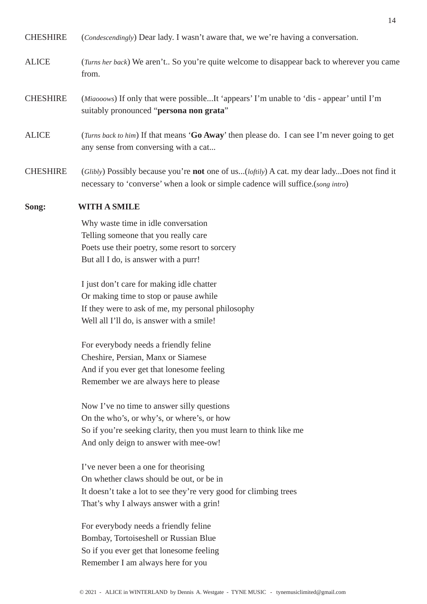CHESHIRE (*Condescendingly*) Dear lady. I wasn't aware that, we we're having a conversation.

- ALICE (*Turns her back*) We aren't.. So you're quite welcome to disappear back to wherever you came from.
- CHESHIRE (*Miaooows*) If only that were possible...It 'appears' I'm unable to 'dis appear' until I'm suitably pronounced "**persona non grata**"
- ALICE (*Turns back to him*) If that means '**Go Away**' then please do. I can see I'm never going to get any sense from conversing with a cat...
- CHESHIRE (*Glibly*) Possibly because you're **not** one of us...(*loftily*) A cat. my dear lady...Does not find it necessary to 'converse' when a look or simple cadence will suffice.(*song intro*)

#### **Song: WITH A SMILE**

Why waste time in idle conversation Telling someone that you really care Poets use their poetry, some resort to sorcery But all I do, is answer with a purr!

I just don't care for making idle chatter Or making time to stop or pause awhile If they were to ask of me, my personal philosophy Well all I'll do, is answer with a smile!

For everybody needs a friendly feline Cheshire, Persian, Manx or Siamese And if you ever get that lonesome feeling Remember we are always here to please

Now I've no time to answer silly questions On the who's, or why's, or where's, or how So if you're seeking clarity, then you must learn to think like me And only deign to answer with mee-ow!

I've never been a one for theorising On whether claws should be out, or be in It doesn't take a lot to see they're very good for climbing trees That's why I always answer with a grin!

For everybody needs a friendly feline Bombay, Tortoiseshell or Russian Blue So if you ever get that lonesome feeling Remember I am always here for you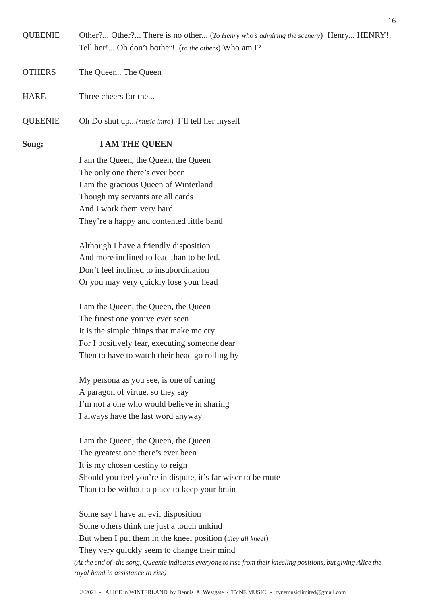- QUEENIE Other?... Other?... There is no other... (*To Henry who's admiring the scenery*) Henry... HENRY!. Tell her!... Oh don't bother!. (*to the others*) Who am I?
- OTHERS The Queen.. The Queen
- HARE Three cheers for the...
- QUEENIE Oh Do shut up...*(music intro*) I'll tell her myself

#### Song: **I AM THE QUEEN**

I am the Queen, the Queen, the Queen The only one there's ever been I am the gracious Queen of Winterland Though my servants are all cards And I work them very hard They're a happy and contented little band

Although I have a friendly disposition And more inclined to lead than to be led. Don't feel inclined to insubordination Or you may very quickly lose your head

I am the Queen, the Queen, the Queen The finest one you've ever seen It is the simple things that make me cry For I positively fear, executing someone dear Then to have to watch their head go rolling by

My persona as you see, is one of caring A paragon of virtue, so they say I'm not a one who would believe in sharing I always have the last word anyway

*royal hand in assistance to rise)*

I am the Queen, the Queen, the Queen The greatest one there's ever been It is my chosen destiny to reign Should you feel you're in dispute, it's far wiser to be mute Than to be without a place to keep your brain

Some say I have an evil disposition Some others think me just a touch unkind But when I put them in the kneel position (*they all kneel*) They very quickly seem to change their mind *(At the end of the song, Queenie indicates everyone to rise from their kneeling positions, but giving Alice the*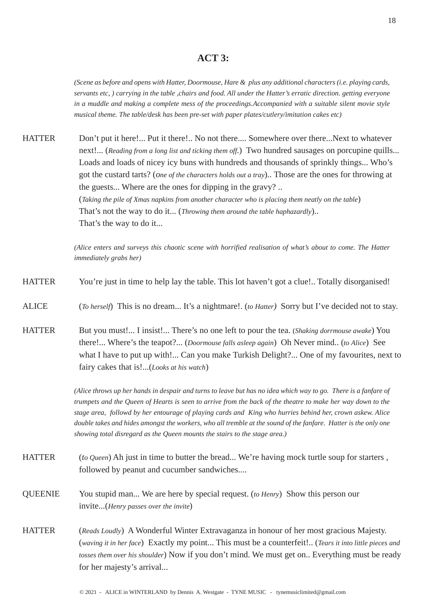#### **ACT 3:**

*(Scene as before and opens with Hatter, Doormouse, Hare & plus any additional characters (i.e. playing cards, servants etc, ) carrying in the table ,chairs and food. All under the Hatter's erratic direction. getting everyone in a muddle and making a complete mess of the proceedings.Accompanied with a suitable silent movie style musical theme. The table/desk has been pre-set with paper plates/cutlery/imitation cakes etc)*

HATTER Don't put it here!... Put it there!.. No not there.... Somewhere over there...Next to whatever next!... (*Reading from a long list and ticking them off.*) Two hundred sausages on porcupine quills... Loads and loads of nicey icy buns with hundreds and thousands of sprinkly things... Who's got the custard tarts? (*one of the characters holds out a tray*).. Those are the ones for throwing at the guests... Where are the ones for dipping in the gravy? .. (*Taking the pile of Xmas napkins from another character who is placing them neatly on the table*) That's not the way to do it... (*Throwing them around the table haphazardly*).. That's the way to do it...

> *(Alice enters and surveys this chaotic scene with horrified realisation of what's about to come. The Hatter immediately grabs her)*

HATTER You're just in time to help lay the table. This lot haven't got a clue!.. Totally disorganised!

ALICE (*To herself*) This is no dream... It's a nightmare!. (*to Hatter)* Sorry but I've decided not to stay.

HATTER But you must!... I insist!... There's no one left to pour the tea. (*Shaking dorrmouse awake*) You there!... Where's the teapot?... (*Doormouse falls asleep again*) Oh Never mind.. (*to Alice*) See what I have to put up with!... Can you make Turkish Delight?... One of my favourites, next to fairy cakes that is!...(*Looks at his watch*)

> *(Alice throws up her hands in despair and turns to leave but has no idea which way to go. There is a fanfare of trumpets and the Queen of Hearts is seen to arrive from the back of the theatre to make her way down to the stage area, followd by her entourage of playing cards and King who hurries behind her, crown askew. Alice double takes and hides amongst the workers, who all tremble at the sound of the fanfare. Hatter is the only one showing total disregard as the Queen mounts the stairs to the stage area.)*

- HATTER (*to Queen*) Ah just in time to butter the bread... We're having mock turtle soup for starters , followed by peanut and cucumber sandwiches....
- QUEENIE You stupid man... We are here by special request. (*to Henry*) Show this person our invite...(*Henry passes over the invite*)
- HATTER (*Reads Loudly*) A Wonderful Winter Extravaganza in honour of her most gracious Majesty. (*waving it in her face*) Exactly my point... This must be a counterfeit!.. (*Tears it into little pieces and tosses them over his shoulder*) Now if you don't mind. We must get on.. Everything must be ready for her majesty's arrival...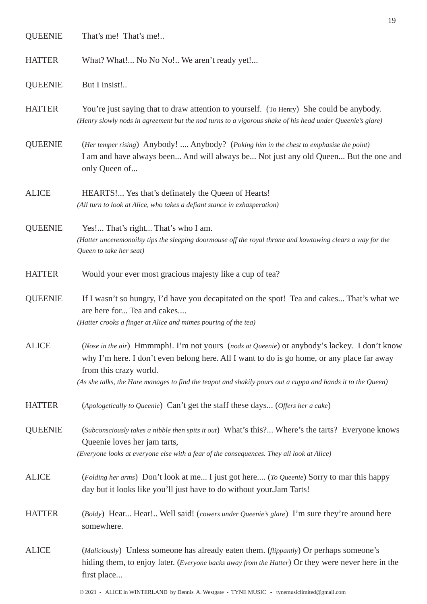19 QUEENIE That's me! That's me!.. HATTER What? What!... No No No!.. We aren't ready yet!... QUEENIE But I insist!.. HATTER You're just saying that to draw attention to yourself. (To Henry) She could be anybody. *(Henry slowly nods in agreement but the nod turns to a vigorous shake of his head under Queenie's glare)* QUEENIE (*Her temper rising*) Anybody! .... Anybody? (*Poking him in the chest to emphasise the point)* I am and have always been... And will always be... Not just any old Queen... But the one and only Queen of... ALICE HEARTS!... Yes that's definately the Queen of Hearts! *(All turn to look at Alice, who takes a defiant stance in exhasperation)* QUEENIE Yes!... That's right... That's who I am. *(Hatter unceremonoilsy tips the sleeping doormouse off the royal throne and kowtowing clears a way for the Queen to take her seat)* HATTER Would your ever most gracious majesty like a cup of tea? QUEENIE If I wasn't so hungry, I'd have you decapitated on the spot! Tea and cakes... That's what we are here for... Tea and cakes.... *(Hatter crooks a finger at Alice and mimes pouring of the tea)* ALICE (*Nose in the air*) Hmmmph!. I'm not yours (*nods at Queenie*) or anybody's lackey. I don't know why I'm here. I don't even belong here. All I want to do is go home, or any place far away from this crazy world. *(As she talks, the Hare manages to find the teapot and shakily pours out a cuppa and hands it to the Queen)* HATTER (*Apologetically to Queenie*) Can't get the staff these days... (*Offers her a cake*) QUEENIE (*Subconsciously takes a nibble then spits it out*) What's this?... Where's the tarts? Everyone knows Queenie loves her jam tarts, *(Everyone looks at everyone else with a fear of the consequences. They all look at Alice)* ALICE (*Folding her arms*) Don't look at me... I just got here.... (*To Queenie*) Sorry to mar this happy day but it looks like you'll just have to do without your.Jam Tarts! HATTER (*Boldy*) Hear... Hear!.. Well said! (*cowers under Queenie's glare*) I'm sure they're around here somewhere. ALICE (*Maliciously*) Unless someone has already eaten them. (*flippantly*) Or perhaps someone's hiding them, to enjoy later. (*Everyone backs away from the Hatter*) Or they were never here in the first place...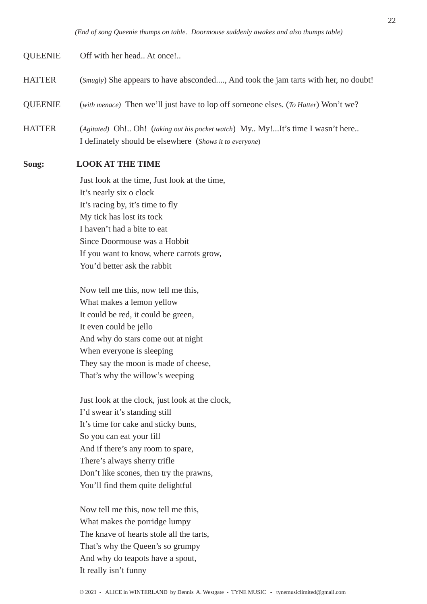- HATTER (*Smugly*) She appears to have absconded...., And took the jam tarts with her, no doubt!
- QUEENIE (*with menace)* Then we'll just have to lop off someone elses. (*To Hatter*) Won't we?
- HATTER (*Agitated)* Oh!.. Oh! (*taking out his pocket watch*) My.. My!...It's time I wasn't here.. I definately should be elsewhere (*Shows it to everyone*)

#### **Song: LOOK AT THE TIME**

Just look at the time, Just look at the time, It's nearly six o clock It's racing by, it's time to fly My tick has lost its tock I haven't had a bite to eat Since Doormouse was a Hobbit If you want to know, where carrots grow, You'd better ask the rabbit

Now tell me this, now tell me this, What makes a lemon yellow It could be red, it could be green, It even could be jello And why do stars come out at night When everyone is sleeping They say the moon is made of cheese, That's why the willow's weeping

Just look at the clock, just look at the clock, I'd swear it's standing still It's time for cake and sticky buns, So you can eat your fill And if there's any room to spare, There's always sherry trifle Don't like scones, then try the prawns, You'll find them quite delightful

Now tell me this, now tell me this, What makes the porridge lumpy The knave of hearts stole all the tarts, That's why the Queen's so grumpy And why do teapots have a spout, It really isn't funny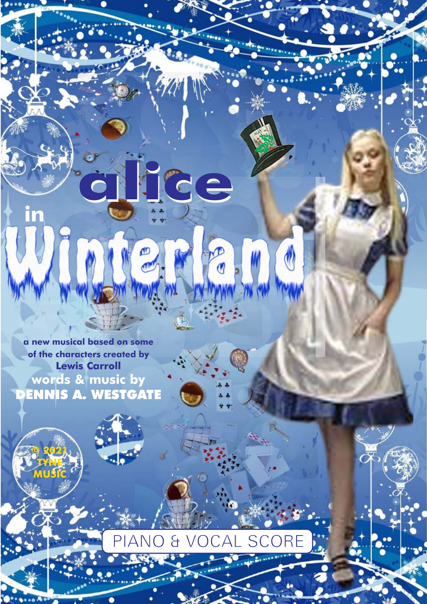**a new musical based on some of the characters created by Lewis Carroll words & music by** ENNIS A. WESTGATE

**© 2021 TYNE MUSIC**

**in**

**alice**

₾

#**. .. . .**

## SCORE

1

 $\mathcal{L} = \mathcal{L} \mathcal{L} = \mathcal{L} \mathcal{L}$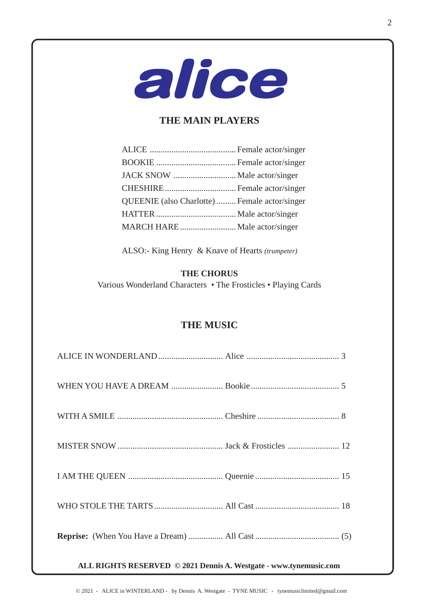

#### **THE MAIN PLAYERS**

| QUEENIE (also Charlotte)  Female actor/singer |  |
|-----------------------------------------------|--|
|                                               |  |
|                                               |  |
|                                               |  |
|                                               |  |
|                                               |  |
|                                               |  |

ALSO:- King Henry & Knave of Hearts *(trumpeter)*

**THE CHORUS** Various Wonderland Characters • The Frosticles • Playing Cards

### **THE MUSIC**

| ALL RIGHTS RESERVED © 2021 Dennis A. Westgate - www.tynemusic.com |  |  |  |  |  |
|-------------------------------------------------------------------|--|--|--|--|--|
|                                                                   |  |  |  |  |  |
|                                                                   |  |  |  |  |  |
|                                                                   |  |  |  |  |  |
|                                                                   |  |  |  |  |  |
|                                                                   |  |  |  |  |  |
|                                                                   |  |  |  |  |  |
|                                                                   |  |  |  |  |  |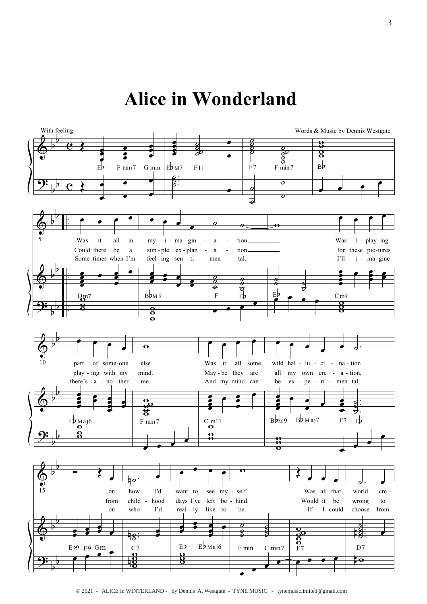### **Alice in Wonderland**

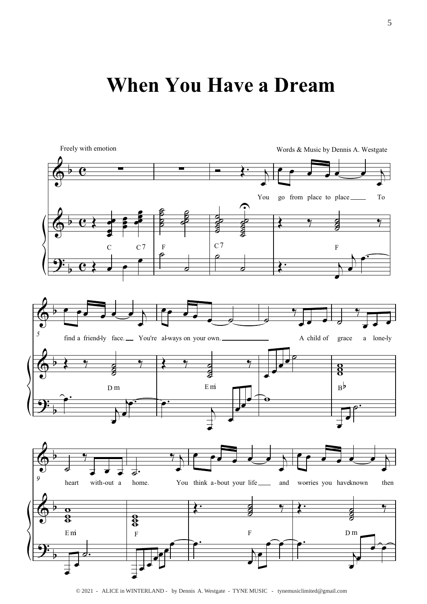## **When You Have a Dream**



<sup>© 2021 -</sup> ALICE in WINTERLAND - by Dennis A. Westgate - TYNE MUSIC - tynemusiclimited@gmail.com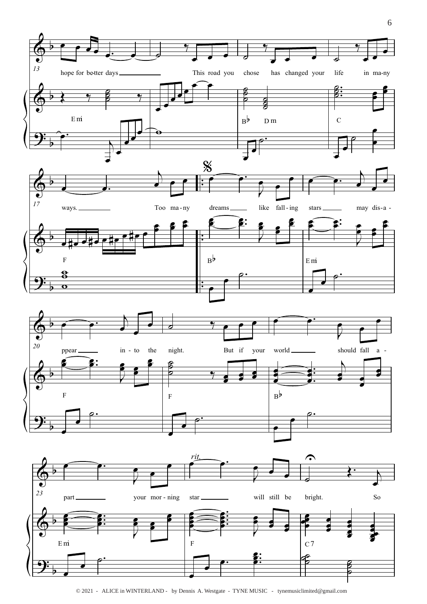

<sup>© 2021 -</sup> ALICE in WINTERLAND - by Dennis A. Westgate - TYNE MUSIC - tynemusiclimited@gmail.com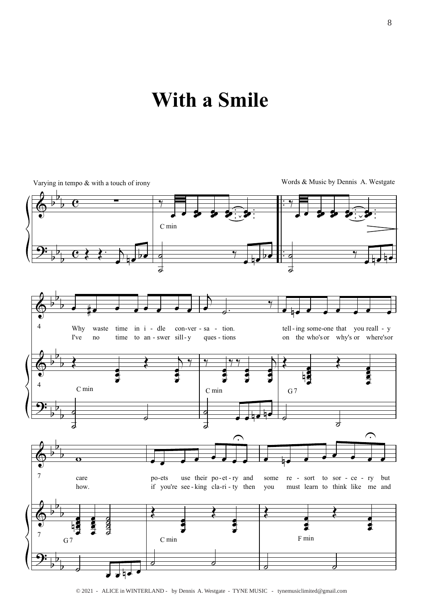## **With a Smile**



<sup>© 2021 -</sup> ALICE in WINTERLAND - by Dennis A. Westgate - TYNE MUSIC - tynemusiclimited@gmail.com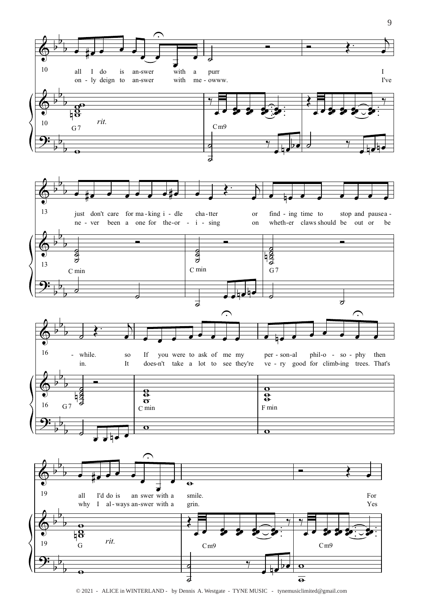

© 2021 - ALICE in WINTERLAND - by Dennis A. Westgate - TYNE MUSIC - tynemusiclimited@gmail.com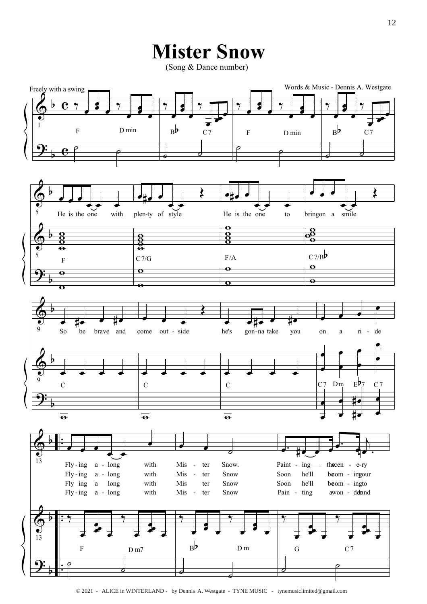## **Mister Snow**

(Song & Dance number)

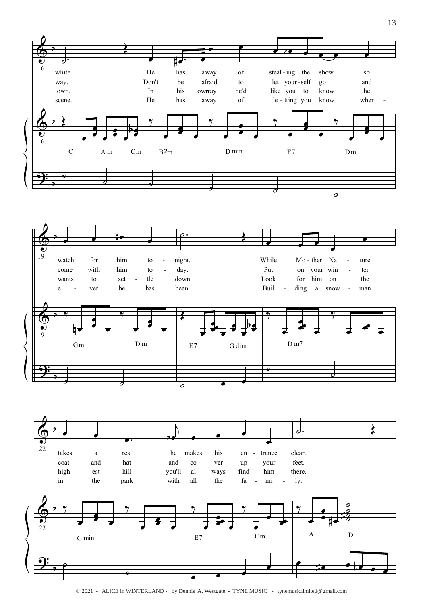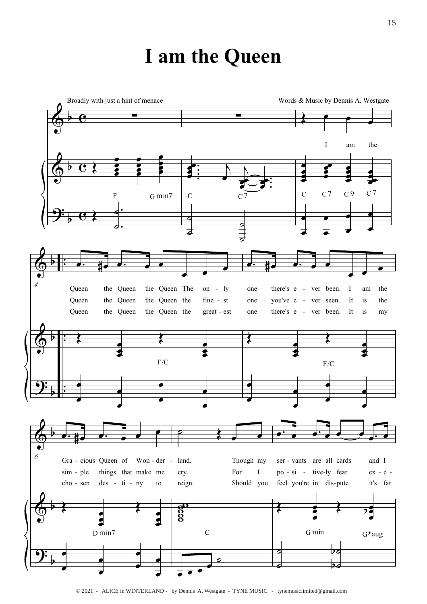## I am the Queen

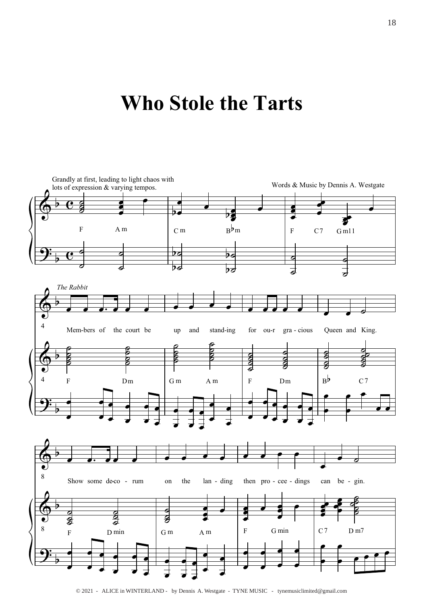## **Who Stole the Tarts**